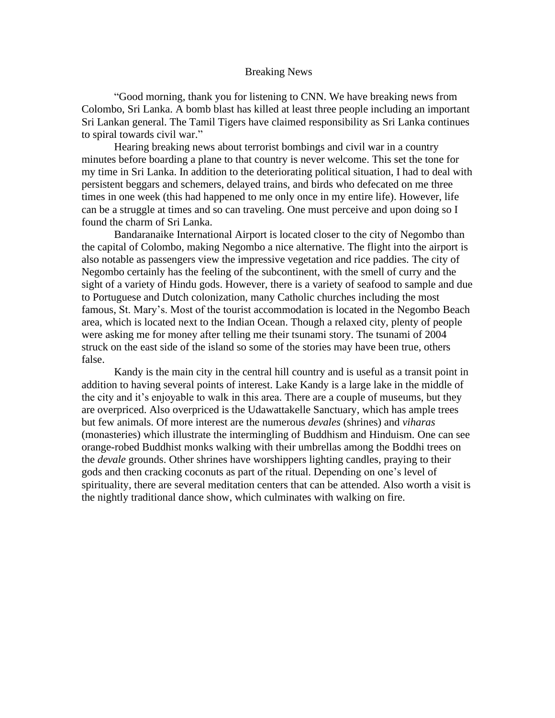## Breaking News

"Good morning, thank you for listening to CNN. We have breaking news from Colombo, Sri Lanka. A bomb blast has killed at least three people including an important Sri Lankan general. The Tamil Tigers have claimed responsibility as Sri Lanka continues to spiral towards civil war."

Hearing breaking news about terrorist bombings and civil war in a country minutes before boarding a plane to that country is never welcome. This set the tone for my time in Sri Lanka. In addition to the deteriorating political situation, I had to deal with persistent beggars and schemers, delayed trains, and birds who defecated on me three times in one week (this had happened to me only once in my entire life). However, life can be a struggle at times and so can traveling. One must perceive and upon doing so I found the charm of Sri Lanka.

Bandaranaike International Airport is located closer to the city of Negombo than the capital of Colombo, making Negombo a nice alternative. The flight into the airport is also notable as passengers view the impressive vegetation and rice paddies. The city of Negombo certainly has the feeling of the subcontinent, with the smell of curry and the sight of a variety of Hindu gods. However, there is a variety of seafood to sample and due to Portuguese and Dutch colonization, many Catholic churches including the most famous, St. Mary's. Most of the tourist accommodation is located in the Negombo Beach area, which is located next to the Indian Ocean. Though a relaxed city, plenty of people were asking me for money after telling me their tsunami story. The tsunami of 2004 struck on the east side of the island so some of the stories may have been true, others false.

Kandy is the main city in the central hill country and is useful as a transit point in addition to having several points of interest. Lake Kandy is a large lake in the middle of the city and it's enjoyable to walk in this area. There are a couple of museums, but they are overpriced. Also overpriced is the Udawattakelle Sanctuary, which has ample trees but few animals. Of more interest are the numerous *devales* (shrines) and *viharas* (monasteries) which illustrate the intermingling of Buddhism and Hinduism. One can see orange-robed Buddhist monks walking with their umbrellas among the Boddhi trees on the *devale* grounds. Other shrines have worshippers lighting candles, praying to their gods and then cracking coconuts as part of the ritual. Depending on one's level of spirituality, there are several meditation centers that can be attended. Also worth a visit is the nightly traditional dance show, which culminates with walking on fire.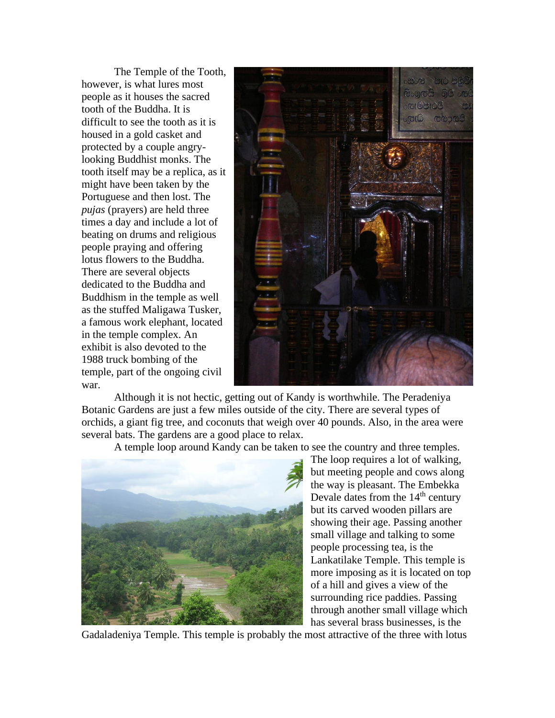The Temple of the Tooth, however, is what lures most people as it houses the sacred tooth of the Buddha. It is difficult to see the tooth as it is housed in a gold casket and protected by a couple angrylooking Buddhist monks. The tooth itself may be a replica, as it might have been taken by the Portuguese and then lost. The *pujas* (prayers) are held three times a day and include a lot of beating on drums and religious people praying and offering lotus flowers to the Buddha. There are several objects dedicated to the Buddha and Buddhism in the temple as well as the stuffed Maligawa Tusker, a famous work elephant, located in the temple complex. An exhibit is also devoted to the 1988 truck bombing of the temple, part of the ongoing civil war.



Although it is not hectic, getting out of Kandy is worthwhile. The Peradeniya Botanic Gardens are just a few miles outside of the city. There are several types of orchids, a giant fig tree, and coconuts that weigh over 40 pounds. Also, in the area were several bats. The gardens are a good place to relax.

A temple loop around Kandy can be taken to see the country and three temples.



The loop requires a lot of walking, but meeting people and cows along the way is pleasant. The Embekka Devale dates from the  $14<sup>th</sup>$  century but its carved wooden pillars are showing their age. Passing another small village and talking to some people processing tea, is the Lankatilake Temple. This temple is more imposing as it is located on top of a hill and gives a view of the surrounding rice paddies. Passing through another small village which has several brass businesses, is the

Gadaladeniya Temple. This temple is probably the most attractive of the three with lotus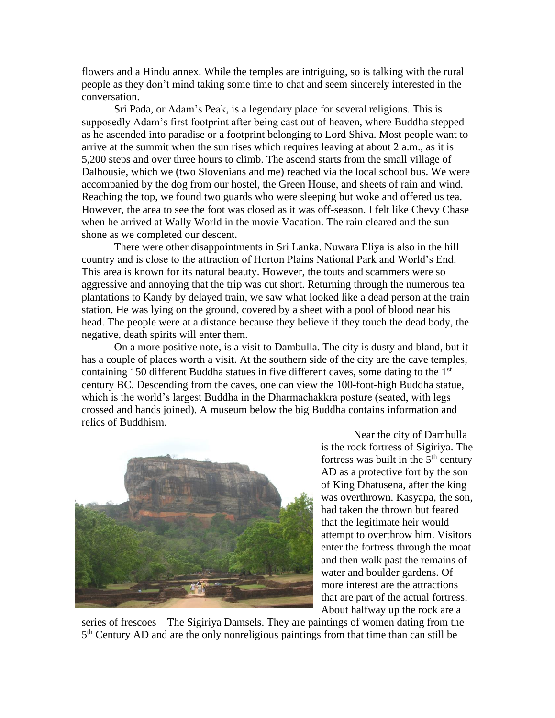flowers and a Hindu annex. While the temples are intriguing, so is talking with the rural people as they don't mind taking some time to chat and seem sincerely interested in the conversation.

Sri Pada, or Adam's Peak, is a legendary place for several religions. This is supposedly Adam's first footprint after being cast out of heaven, where Buddha stepped as he ascended into paradise or a footprint belonging to Lord Shiva. Most people want to arrive at the summit when the sun rises which requires leaving at about 2 a.m., as it is 5,200 steps and over three hours to climb. The ascend starts from the small village of Dalhousie, which we (two Slovenians and me) reached via the local school bus. We were accompanied by the dog from our hostel, the Green House, and sheets of rain and wind. Reaching the top, we found two guards who were sleeping but woke and offered us tea. However, the area to see the foot was closed as it was off-season. I felt like Chevy Chase when he arrived at Wally World in the movie Vacation. The rain cleared and the sun shone as we completed our descent.

There were other disappointments in Sri Lanka. Nuwara Eliya is also in the hill country and is close to the attraction of Horton Plains National Park and World's End. This area is known for its natural beauty. However, the touts and scammers were so aggressive and annoying that the trip was cut short. Returning through the numerous tea plantations to Kandy by delayed train, we saw what looked like a dead person at the train station. He was lying on the ground, covered by a sheet with a pool of blood near his head. The people were at a distance because they believe if they touch the dead body, the negative, death spirits will enter them.

On a more positive note, is a visit to Dambulla. The city is dusty and bland, but it has a couple of places worth a visit. At the southern side of the city are the cave temples, containing 150 different Buddha statues in five different caves, some dating to the  $1<sup>st</sup>$ century BC. Descending from the caves, one can view the 100-foot-high Buddha statue, which is the world's largest Buddha in the Dharmachakkra posture (seated, with legs crossed and hands joined). A museum below the big Buddha contains information and relics of Buddhism.



Near the city of Dambulla is the rock fortress of Sigiriya. The fortress was built in the  $5<sup>th</sup>$  century AD as a protective fort by the son of King Dhatusena, after the king was overthrown. Kasyapa, the son, had taken the thrown but feared that the legitimate heir would attempt to overthrow him. Visitors enter the fortress through the moat and then walk past the remains of water and boulder gardens. Of more interest are the attractions that are part of the actual fortress. About halfway up the rock are a

series of frescoes – The Sigiriya Damsels. They are paintings of women dating from the 5<sup>th</sup> Century AD and are the only nonreligious paintings from that time than can still be